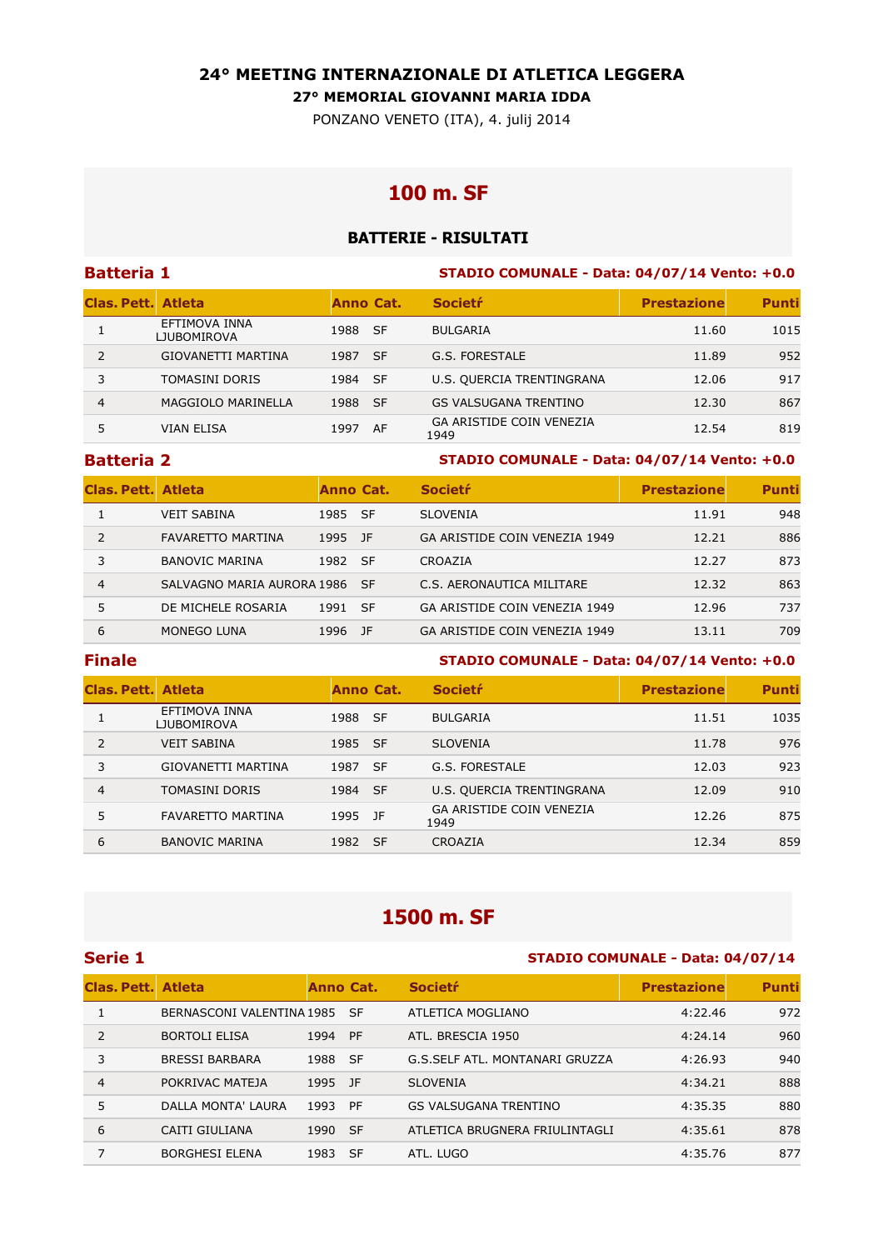### **24° MEETING INTERNAZIONALE DI ATLETICA LEGGERA**

**27° MEMORIAL GIOVANNI MARIA IDDA** 

PONZANO VENETO (ITA), 4. julij 2014

# **100 m. SF**

## **BATTERIE - RISULTATI**

| <b>Batteria 1</b>         |                                     |           |      | STADIO COMUNALE - Data: 04/07/14 Vento: +0.0 |                    |              |  |
|---------------------------|-------------------------------------|-----------|------|----------------------------------------------|--------------------|--------------|--|
| <b>Clas, Pett. Atleta</b> |                                     | Anno Cat. |      | <b>Societr</b>                               | <b>Prestazione</b> | <b>Punti</b> |  |
|                           | EFTIMOVA INNA<br><b>LJUBOMIROVA</b> | 1988 SF   |      | <b>BULGARIA</b>                              | 11.60              | 1015         |  |
| $\mathcal{P}$             | GIOVANETTI MARTINA                  | 1987      | - SF | G.S. FORESTALE                               | 11.89              | 952          |  |
|                           | <b>TOMASINI DORIS</b>               | 1984      | - SF | U.S. QUERCIA TRENTINGRANA                    | 12.06              | 917          |  |
| 4                         | MAGGIOLO MARINELLA                  | 1988      | - SF | <b>GS VALSUGANA TRENTINO</b>                 | 12.30              | 867          |  |
|                           | <b>VIAN ELISA</b>                   | 1997      | AF   | <b>GA ARISTIDE COIN VENEZIA</b><br>1949      | 12.54              | 819          |  |

### **Batteria 2 STADIO COMUNALE - Data: 04/07/14 Vento: +0.0**

| <b>Clas, Pett. Atleta</b> |                            | Anno Cat. |           | <b>Societr</b>                | <b>Prestazione</b> | <b>Punti</b> |
|---------------------------|----------------------------|-----------|-----------|-------------------------------|--------------------|--------------|
|                           | <b>VEIT SABINA</b>         | 1985 SF   |           | <b>SLOVENIA</b>               | 11.91              | 948          |
|                           | <b>FAVARETTO MARTINA</b>   | 1995      | - 1F      | GA ARISTIDE COIN VENEZIA 1949 | 12.21              | 886          |
|                           | <b>BANOVIC MARINA</b>      | 1982 SF   |           | CROAZIA                       | 12.27              | 873          |
| 4                         | SALVAGNO MARIA AURORA 1986 |           | <b>SF</b> | C.S. AERONAUTICA MILITARE     | 12.32              | 863          |
| 5.                        | DE MICHELE ROSARIA         | 1991      | -SF       | GA ARISTIDE COIN VENEZIA 1949 | 12.96              | 737          |
| 6                         | MONEGO LUNA                | 1996      | -1F       | GA ARISTIDE COIN VENEZIA 1949 | 13.11              | 709          |

### **Finale STADIO COMUNALE - Data: 04/07/14 Vento: +0.0**

| <b>Clas. Pett. Atleta</b> |                                     | Anno Cat. |           | <b>Societr</b>                          | <b>Prestazione</b> | <b>Punti</b> |
|---------------------------|-------------------------------------|-----------|-----------|-----------------------------------------|--------------------|--------------|
|                           | EFTIMOVA INNA<br><b>LJUBOMIROVA</b> | 1988 SF   |           | <b>BULGARIA</b>                         | 11.51              | 1035         |
| $\mathcal{P}$             | <b>VEIT SABINA</b>                  | 1985 SF   |           | <b>SLOVENIA</b>                         | 11.78              | 976          |
| 3                         | <b>GIOVANETTI MARTINA</b>           | 1987      | -SF       | G.S. FORESTALE                          | 12.03              | 923          |
| $\overline{4}$            | <b>TOMASINI DORIS</b>               | 1984 SF   |           | U.S. QUERCIA TRENTINGRANA               | 12.09              | 910          |
| 5                         | <b>FAVARETTO MARTINA</b>            | 1995 JF   |           | <b>GA ARISTIDE COIN VENEZIA</b><br>1949 | 12.26              | 875          |
| 6                         | <b>BANOVIC MARINA</b>               | 1982      | <b>SF</b> | CROAZIA                                 | 12.34              | 859          |

# **1500 m. SF**

### **Serie 1 STADIO COMUNALE - Data: 04/07/14**

| Clas. Pett. Atleta |                              | Anno Cat. |           | <b>Societr</b>                 | <b>Prestazione</b> | <b>Punti</b> |
|--------------------|------------------------------|-----------|-----------|--------------------------------|--------------------|--------------|
|                    | BERNASCONI VALENTINA 1985 SF |           |           | ATLETICA MOGLIANO              | 4:22.46            | 972          |
| $\mathcal{L}$      | <b>BORTOLI ELISA</b>         | 1994      | <b>PF</b> | ATL. BRESCIA 1950              | 4:24.14            | 960          |
| 3                  | <b>BRESSI BARBARA</b>        | 1988 SF   |           | G.S.SELF ATL. MONTANARI GRUZZA | 4:26.93            | 940          |
| $\overline{4}$     | POKRIVAC MATEJA              | 1995 JF   |           | <b>SLOVENIA</b>                | 4:34.21            | 888          |
| 5                  | DALLA MONTA' LAURA           | 1993      | PF        | <b>GS VALSUGANA TRENTINO</b>   | 4:35.35            | 880          |
| 6                  | CAITI GIULIANA               | 1990 SF   |           | ATLETICA BRUGNERA FRIULINTAGLI | 4:35.61            | 878          |
|                    | <b>BORGHESI ELENA</b>        | 1983 SF   |           | ATL. LUGO                      | 4:35.76            | 877          |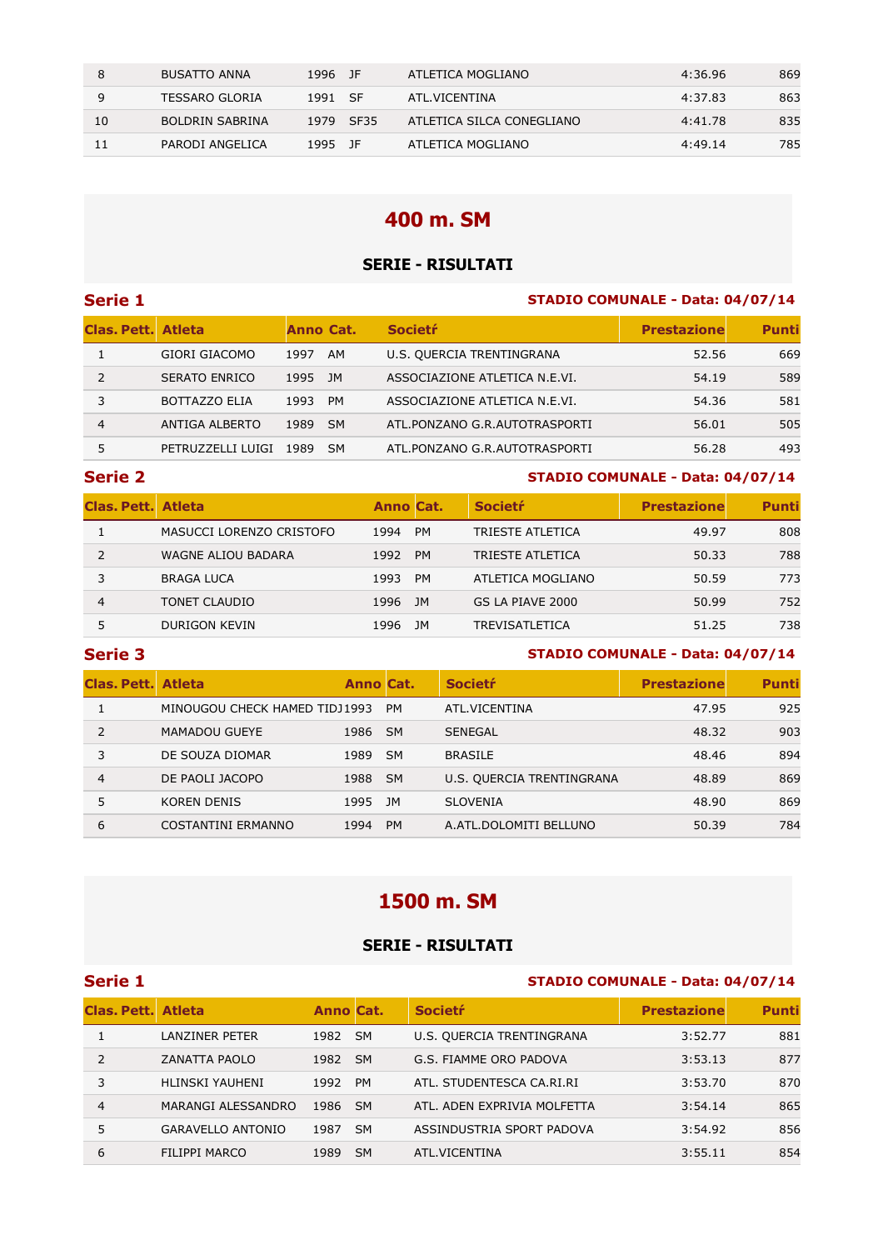|    | <b>BUSATTO ANNA</b> | 1996 JF |           | ATLETICA MOGLIANO         | 4:36.96 | 869 |
|----|---------------------|---------|-----------|---------------------------|---------|-----|
|    | TESSARO GLORIA      | 1991 SF |           | ATL.VICENTINA             | 4:37.83 | 863 |
| 10 | BOLDRIN SABRINA     |         | 1979 SF35 | ATLETICA SILCA CONEGLIANO | 4:41.78 | 835 |
| 11 | PARODI ANGELICA     | 1995 IF |           | ATLETICA MOGLIANO         | 4:49.14 | 785 |

## **400 m. SM**

### **SERIE - RISULTATI**

### **Serie 1 STADIO COMUNALE - Data: 04/07/14**

| <b>Clas, Pett. Atleta</b> |                      | <b>Anno Cat.</b> |           | <b>Societr</b>                | <b>Prestazione</b> | <b>Punti</b> |
|---------------------------|----------------------|------------------|-----------|-------------------------------|--------------------|--------------|
|                           | GIORI GIACOMO        | 1997             | AM        | U.S. QUERCIA TRENTINGRANA     | 52.56              | 669          |
|                           | <b>SERATO ENRICO</b> | 1995             | JM        | ASSOCIAZIONE ATLETICA N.E.VI. | 54.19              | 589          |
|                           | <b>BOTTAZZO ELIA</b> | 1993             | <b>PM</b> | ASSOCIAZIONE ATLETICA N.E.VI. | 54.36              | 581          |
| 4                         | ANTIGA ALBERTO       | 1989             | <b>SM</b> | ATL.PONZANO G.R.AUTOTRASPORTI | 56.01              | 505          |
|                           | PETRUZZELLI LUIGI    | 1989             | <b>SM</b> | ATL.PONZANO G.R.AUTOTRASPORTI | 56.28              | 493          |

#### **Serie 2 STADIO COMUNALE - Data: 04/07/14**

| <b>Clas, Pett. Atleta</b> |                           | <b>Anno Cat.</b> |           | <b>Societr</b>    | <b>Prestazione</b> | <b>Punti</b> |
|---------------------------|---------------------------|------------------|-----------|-------------------|--------------------|--------------|
|                           | MASUCCI LORENZO CRISTOFO  | 1994             | <b>PM</b> | TRIESTE ATLETICA  | 49.97              | 808          |
|                           | <b>WAGNE ALIOU BADARA</b> | 1992             | <b>PM</b> | TRIESTE ATLETICA  | 50.33              | 788          |
|                           | <b>BRAGA LUCA</b>         | 1993             | <b>PM</b> | ATLETICA MOGLIANO | 50.59              | 773          |
| 4                         | TONET CLAUDIO             | 1996             | JM.       | GS LA PIAVE 2000  | 50.99              | 752          |
|                           | <b>DURIGON KEVIN</b>      | 1996             | JМ        | TREVISATLETICA    | 51.25              | 738          |

#### **Serie 3 STADIO COMUNALE - Data: 04/07/14**

| Clas, Pett. Atleta |                               | <b>Anno Cat.</b> |           | <b>Societr</b>            | <b>Prestazione</b> | <b>Punti</b> |
|--------------------|-------------------------------|------------------|-----------|---------------------------|--------------------|--------------|
|                    | MINOUGOU CHECK HAMED TIDJ1993 |                  | <b>PM</b> | ATL.VICENTINA             | 47.95              | 925          |
| 2                  | <b>MAMADOU GUEYE</b>          | 1986 SM          |           | <b>SENEGAL</b>            | 48.32              | 903          |
|                    | DE SOUZA DIOMAR               | 1989             | - SM      | <b>BRASILE</b>            | 48.46              | 894          |
| 4                  | DE PAOLI JACOPO               | 1988 SM          |           | U.S. QUERCIA TRENTINGRANA | 48.89              | 869          |
|                    | KOREN DENIS                   | 1995             | JM        | <b>SLOVENIA</b>           | 48.90              | 869          |
| 6                  | COSTANTINI ERMANNO            | 1994             | <b>PM</b> | A.ATL.DOLOMITI BELLUNO    | 50.39              | 784          |

# **1500 m. SM**

#### **SERIE - RISULTATI**

# **Serie 1 STADIO COMUNALE - Data: 04/07/14 Clas. Pett.** Atleta Anno Cat. Societŕ Anno Cat. Prestazione Punti 1 LANZINER PETER 1982 SM U.S. QUERCIA TRENTINGRANA 3:52.77 881 2 ZANATTA PAOLO 1982 SM G.S. FIAMME ORO PADOVA 3:53.13 877 3 HLINSKI YAUHENI 1992 PM ATL. STUDENTESCA CA.RI.RI 3:53.70 870 4 MARANGI ALESSANDRO 1986 SM ATL. ADEN EXPRIVIA MOLFETTA 3:54.14 865 5 GARAVELLO ANTONIO 1987 SM ASSINDUSTRIA SPORT PADOVA 3:54.92 856 6 FILIPPI MARCO 1989 SM ATL.VICENTINA 3:55.11 854